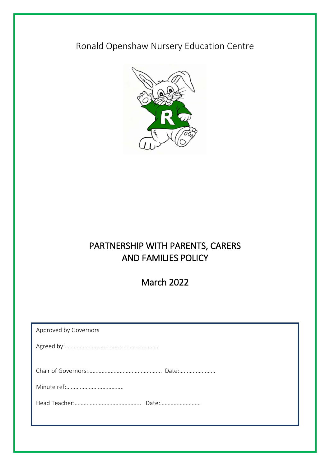# Ronald Openshaw Nursery Education Centre



## PARTNERSHIP WITH PARENTS, CARERS AND FAMILIES POLICY

March 2022

| Approved by Governors |
|-----------------------|
|                       |
|                       |
|                       |
|                       |
|                       |
|                       |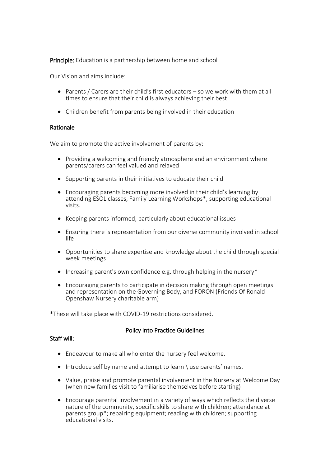**Principle:** Education is a partnership between home and school

Our Vision and aims include:

- Parents / Carers are their child's first educators so we work with them at all times to ensure that their child is always achieving their best
- Children benefit from parents being involved in their education

#### Rationale

We aim to promote the active involvement of parents by:

- Providing a welcoming and friendly atmosphere and an environment where parents/carers can feel valued and relaxed
- Supporting parents in their initiatives to educate their child
- Encouraging parents becoming more involved in their child's learning by attending ESOL classes, Family Learning Workshops\*, supporting educational visits.
- Keeping parents informed, particularly about educational issues
- Ensuring there is representation from our diverse community involved in school life
- Opportunities to share expertise and knowledge about the child through special week meetings
- $\bullet$  Increasing parent's own confidence e.g. through helping in the nursery\*
- Encouraging parents to participate in decision making through open meetings and representation on the Governing Body, and FORON (Friends Of Ronald Openshaw Nursery charitable arm)

\*These will take place with COVID-19 restrictions considered.

## Policy Into Practice Guidelines

## Staff will:

- Endeavour to make all who enter the nursery feel welcome.
- $\bullet$  Introduce self by name and attempt to learn  $\setminus$  use parents' names.
- Value, praise and promote parental involvement in the Nursery at Welcome Day (when new families visit to familiarise themselves before starting)
- Encourage parental involvement in a variety of ways which reflects the diverse nature of the community, specific skills to share with children; attendance at parents group\*; repairing equipment; reading with children; supporting educational visits.